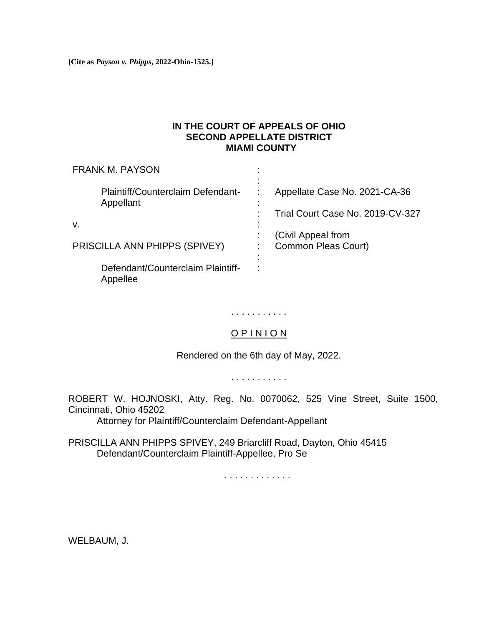**[Cite as** *Payson v. Phipps***, 2022-Ohio-1525.]**

# **IN THE COURT OF APPEALS OF OHIO SECOND APPELLATE DISTRICT MIAMI COUNTY**

| <b>FRANK M. PAYSON</b>                         |                                  |
|------------------------------------------------|----------------------------------|
| Plaintiff/Counterclaim Defendant-<br>Appellant | Appellate Case No. 2021-CA-36    |
|                                                | Trial Court Case No. 2019-CV-327 |
| v.                                             | (Civil Appeal from               |
| PRISCILLA ANN PHIPPS (SPIVEY)                  | <b>Common Pleas Court)</b>       |
| Defendant/Counterclaim Plaintiff-<br>Appellee  |                                  |

. . . . . . . . . . .

# O P I N I O N

Rendered on the 6th day of May, 2022.

. . . . . . . . . . .

ROBERT W. HOJNOSKI, Atty. Reg. No. 0070062, 525 Vine Street, Suite 1500, Cincinnati, Ohio 45202

Attorney for Plaintiff/Counterclaim Defendant-Appellant

PRISCILLA ANN PHIPPS SPIVEY, 249 Briarcliff Road, Dayton, Ohio 45415 Defendant/Counterclaim Plaintiff-Appellee, Pro Se

. . . . . . . . . . . . .

WELBAUM, J.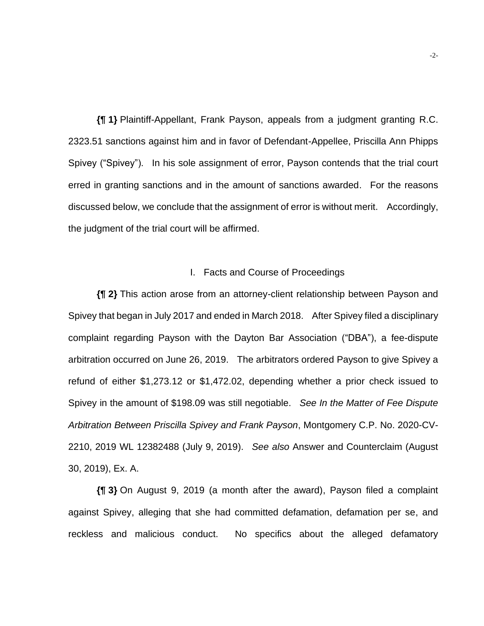**{¶ 1}** Plaintiff-Appellant, Frank Payson, appeals from a judgment granting R.C. 2323.51 sanctions against him and in favor of Defendant-Appellee, Priscilla Ann Phipps Spivey ("Spivey"). In his sole assignment of error, Payson contends that the trial court erred in granting sanctions and in the amount of sanctions awarded. For the reasons discussed below, we conclude that the assignment of error is without merit. Accordingly, the judgment of the trial court will be affirmed.

#### I. Facts and Course of Proceedings

**{¶ 2}** This action arose from an attorney-client relationship between Payson and Spivey that began in July 2017 and ended in March 2018. After Spivey filed a disciplinary complaint regarding Payson with the Dayton Bar Association ("DBA"), a fee-dispute arbitration occurred on June 26, 2019. The arbitrators ordered Payson to give Spivey a refund of either \$1,273.12 or \$1,472.02, depending whether a prior check issued to Spivey in the amount of \$198.09 was still negotiable. *See In the Matter of Fee Dispute Arbitration Between Priscilla Spivey and Frank Payson*, Montgomery C.P. No. 2020-CV-2210, 2019 WL 12382488 (July 9, 2019). *See also* Answer and Counterclaim (August 30, 2019), Ex. A.

**{¶ 3}** On August 9, 2019 (a month after the award), Payson filed a complaint against Spivey, alleging that she had committed defamation, defamation per se, and reckless and malicious conduct. No specifics about the alleged defamatory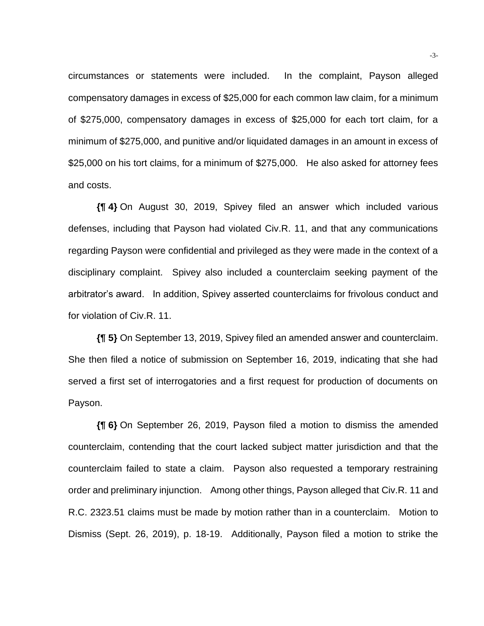circumstances or statements were included. In the complaint, Payson alleged compensatory damages in excess of \$25,000 for each common law claim, for a minimum of \$275,000, compensatory damages in excess of \$25,000 for each tort claim, for a minimum of \$275,000, and punitive and/or liquidated damages in an amount in excess of \$25,000 on his tort claims, for a minimum of \$275,000. He also asked for attorney fees and costs.

**{¶ 4}** On August 30, 2019, Spivey filed an answer which included various defenses, including that Payson had violated Civ.R. 11, and that any communications regarding Payson were confidential and privileged as they were made in the context of a disciplinary complaint. Spivey also included a counterclaim seeking payment of the arbitrator's award. In addition, Spivey asserted counterclaims for frivolous conduct and for violation of Civ.R. 11.

**{¶ 5}** On September 13, 2019, Spivey filed an amended answer and counterclaim. She then filed a notice of submission on September 16, 2019, indicating that she had served a first set of interrogatories and a first request for production of documents on Payson.

**{¶ 6}** On September 26, 2019, Payson filed a motion to dismiss the amended counterclaim, contending that the court lacked subject matter jurisdiction and that the counterclaim failed to state a claim. Payson also requested a temporary restraining order and preliminary injunction. Among other things, Payson alleged that Civ.R. 11 and R.C. 2323.51 claims must be made by motion rather than in a counterclaim. Motion to Dismiss (Sept. 26, 2019), p. 18-19. Additionally, Payson filed a motion to strike the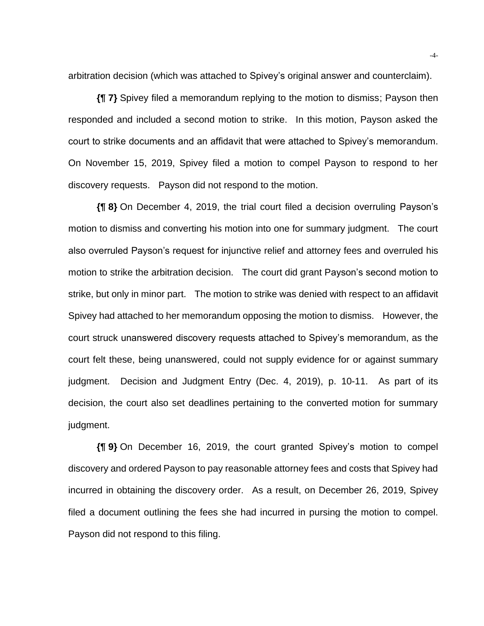arbitration decision (which was attached to Spivey's original answer and counterclaim).

**{¶ 7}** Spivey filed a memorandum replying to the motion to dismiss; Payson then responded and included a second motion to strike. In this motion, Payson asked the court to strike documents and an affidavit that were attached to Spivey's memorandum. On November 15, 2019, Spivey filed a motion to compel Payson to respond to her discovery requests. Payson did not respond to the motion.

**{¶ 8}** On December 4, 2019, the trial court filed a decision overruling Payson's motion to dismiss and converting his motion into one for summary judgment. The court also overruled Payson's request for injunctive relief and attorney fees and overruled his motion to strike the arbitration decision. The court did grant Payson's second motion to strike, but only in minor part. The motion to strike was denied with respect to an affidavit Spivey had attached to her memorandum opposing the motion to dismiss. However, the court struck unanswered discovery requests attached to Spivey's memorandum, as the court felt these, being unanswered, could not supply evidence for or against summary judgment. Decision and Judgment Entry (Dec. 4, 2019), p. 10-11. As part of its decision, the court also set deadlines pertaining to the converted motion for summary judgment.

**{¶ 9}** On December 16, 2019, the court granted Spivey's motion to compel discovery and ordered Payson to pay reasonable attorney fees and costs that Spivey had incurred in obtaining the discovery order. As a result, on December 26, 2019, Spivey filed a document outlining the fees she had incurred in pursing the motion to compel. Payson did not respond to this filing.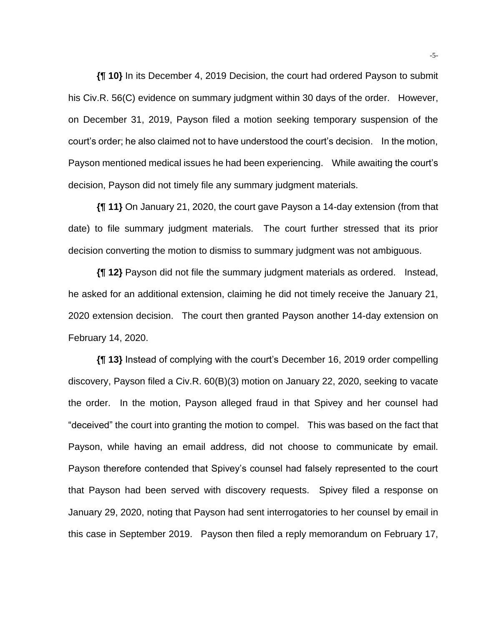**{¶ 10}** In its December 4, 2019 Decision, the court had ordered Payson to submit his Civ.R. 56(C) evidence on summary judgment within 30 days of the order. However, on December 31, 2019, Payson filed a motion seeking temporary suspension of the court's order; he also claimed not to have understood the court's decision. In the motion, Payson mentioned medical issues he had been experiencing. While awaiting the court's decision, Payson did not timely file any summary judgment materials.

**{¶ 11}** On January 21, 2020, the court gave Payson a 14-day extension (from that date) to file summary judgment materials. The court further stressed that its prior decision converting the motion to dismiss to summary judgment was not ambiguous.

**{¶ 12}** Payson did not file the summary judgment materials as ordered. Instead, he asked for an additional extension, claiming he did not timely receive the January 21, 2020 extension decision. The court then granted Payson another 14-day extension on February 14, 2020.

**{¶ 13}** Instead of complying with the court's December 16, 2019 order compelling discovery, Payson filed a Civ.R. 60(B)(3) motion on January 22, 2020, seeking to vacate the order. In the motion, Payson alleged fraud in that Spivey and her counsel had "deceived" the court into granting the motion to compel. This was based on the fact that Payson, while having an email address, did not choose to communicate by email. Payson therefore contended that Spivey's counsel had falsely represented to the court that Payson had been served with discovery requests. Spivey filed a response on January 29, 2020, noting that Payson had sent interrogatories to her counsel by email in this case in September 2019. Payson then filed a reply memorandum on February 17,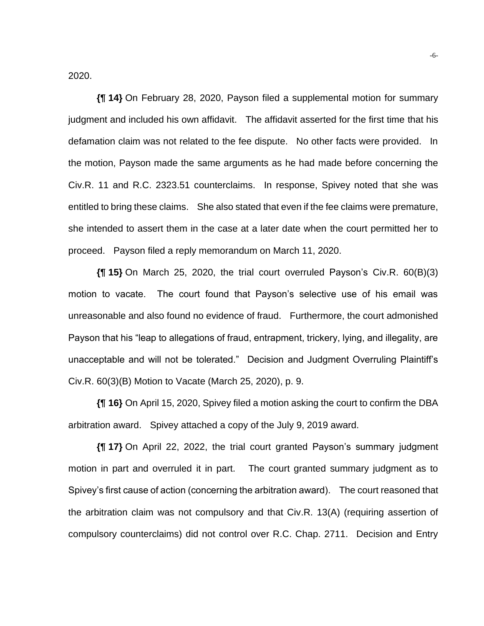2020.

**{¶ 14}** On February 28, 2020, Payson filed a supplemental motion for summary judgment and included his own affidavit. The affidavit asserted for the first time that his defamation claim was not related to the fee dispute. No other facts were provided. In the motion, Payson made the same arguments as he had made before concerning the Civ.R. 11 and R.C. 2323.51 counterclaims. In response, Spivey noted that she was entitled to bring these claims. She also stated that even if the fee claims were premature, she intended to assert them in the case at a later date when the court permitted her to proceed. Payson filed a reply memorandum on March 11, 2020.

**{¶ 15}** On March 25, 2020, the trial court overruled Payson's Civ.R. 60(B)(3) motion to vacate. The court found that Payson's selective use of his email was unreasonable and also found no evidence of fraud. Furthermore, the court admonished Payson that his "leap to allegations of fraud, entrapment, trickery, lying, and illegality, are unacceptable and will not be tolerated." Decision and Judgment Overruling Plaintiff's Civ.R. 60(3)(B) Motion to Vacate (March 25, 2020), p. 9.

**{¶ 16}** On April 15, 2020, Spivey filed a motion asking the court to confirm the DBA arbitration award. Spivey attached a copy of the July 9, 2019 award.

**{¶ 17}** On April 22, 2022, the trial court granted Payson's summary judgment motion in part and overruled it in part. The court granted summary judgment as to Spivey's first cause of action (concerning the arbitration award). The court reasoned that the arbitration claim was not compulsory and that Civ.R. 13(A) (requiring assertion of compulsory counterclaims) did not control over R.C. Chap. 2711. Decision and Entry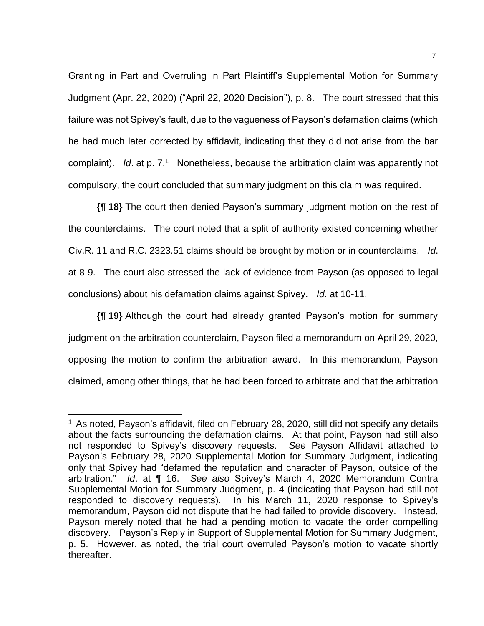Granting in Part and Overruling in Part Plaintiff's Supplemental Motion for Summary Judgment (Apr. 22, 2020) ("April 22, 2020 Decision"), p. 8. The court stressed that this failure was not Spivey's fault, due to the vagueness of Payson's defamation claims (which he had much later corrected by affidavit, indicating that they did not arise from the bar complaint). *Id*. at p. 7.<sup>1</sup> Nonetheless, because the arbitration claim was apparently not compulsory, the court concluded that summary judgment on this claim was required.

**{¶ 18}** The court then denied Payson's summary judgment motion on the rest of the counterclaims. The court noted that a split of authority existed concerning whether Civ.R. 11 and R.C. 2323.51 claims should be brought by motion or in counterclaims. *Id*. at 8-9. The court also stressed the lack of evidence from Payson (as opposed to legal conclusions) about his defamation claims against Spivey. *Id*. at 10-11.

**{¶ 19}** Although the court had already granted Payson's motion for summary judgment on the arbitration counterclaim, Payson filed a memorandum on April 29, 2020, opposing the motion to confirm the arbitration award. In this memorandum, Payson claimed, among other things, that he had been forced to arbitrate and that the arbitration

<sup>&</sup>lt;sup>1</sup> As noted, Payson's affidavit, filed on February 28, 2020, still did not specify any details about the facts surrounding the defamation claims. At that point, Payson had still also not responded to Spivey's discovery requests. *See* Payson Affidavit attached to Payson's February 28, 2020 Supplemental Motion for Summary Judgment, indicating only that Spivey had "defamed the reputation and character of Payson, outside of the arbitration." *Id*. at ¶ 16. *See also* Spivey's March 4, 2020 Memorandum Contra Supplemental Motion for Summary Judgment, p. 4 (indicating that Payson had still not responded to discovery requests). In his March 11, 2020 response to Spivey's memorandum, Payson did not dispute that he had failed to provide discovery. Instead, Payson merely noted that he had a pending motion to vacate the order compelling discovery. Payson's Reply in Support of Supplemental Motion for Summary Judgment, p. 5. However, as noted, the trial court overruled Payson's motion to vacate shortly thereafter.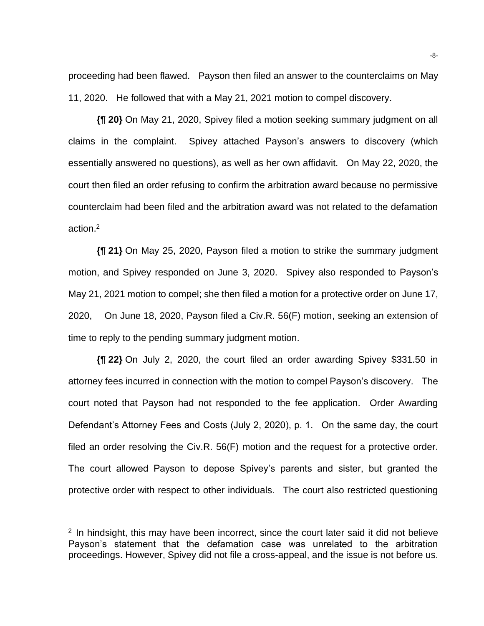proceeding had been flawed. Payson then filed an answer to the counterclaims on May 11, 2020. He followed that with a May 21, 2021 motion to compel discovery.

**{¶ 20}** On May 21, 2020, Spivey filed a motion seeking summary judgment on all claims in the complaint. Spivey attached Payson's answers to discovery (which essentially answered no questions), as well as her own affidavit. On May 22, 2020, the court then filed an order refusing to confirm the arbitration award because no permissive counterclaim had been filed and the arbitration award was not related to the defamation action.<sup>2</sup>

**{¶ 21}** On May 25, 2020, Payson filed a motion to strike the summary judgment motion, and Spivey responded on June 3, 2020. Spivey also responded to Payson's May 21, 2021 motion to compel; she then filed a motion for a protective order on June 17, 2020, On June 18, 2020, Payson filed a Civ.R. 56(F) motion, seeking an extension of time to reply to the pending summary judgment motion.

**{¶ 22}** On July 2, 2020, the court filed an order awarding Spivey \$331.50 in attorney fees incurred in connection with the motion to compel Payson's discovery. The court noted that Payson had not responded to the fee application. Order Awarding Defendant's Attorney Fees and Costs (July 2, 2020), p. 1. On the same day, the court filed an order resolving the Civ.R. 56(F) motion and the request for a protective order. The court allowed Payson to depose Spivey's parents and sister, but granted the protective order with respect to other individuals. The court also restricted questioning

<sup>&</sup>lt;sup>2</sup> In hindsight, this may have been incorrect, since the court later said it did not believe Payson's statement that the defamation case was unrelated to the arbitration proceedings. However, Spivey did not file a cross-appeal, and the issue is not before us.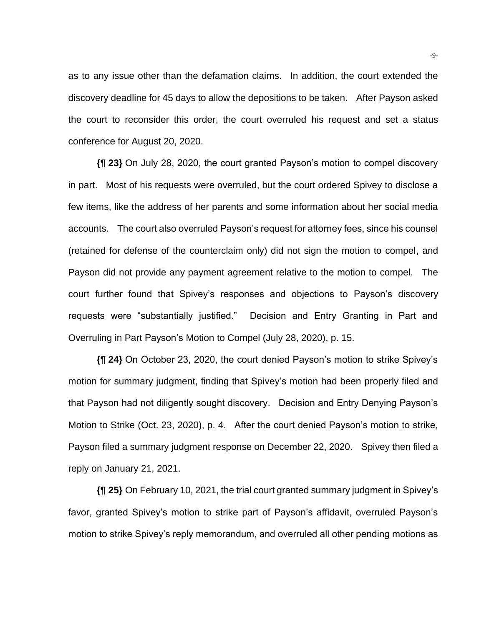as to any issue other than the defamation claims. In addition, the court extended the discovery deadline for 45 days to allow the depositions to be taken. After Payson asked the court to reconsider this order, the court overruled his request and set a status conference for August 20, 2020.

**{¶ 23}** On July 28, 2020, the court granted Payson's motion to compel discovery in part. Most of his requests were overruled, but the court ordered Spivey to disclose a few items, like the address of her parents and some information about her social media accounts. The court also overruled Payson's request for attorney fees, since his counsel (retained for defense of the counterclaim only) did not sign the motion to compel, and Payson did not provide any payment agreement relative to the motion to compel. The court further found that Spivey's responses and objections to Payson's discovery requests were "substantially justified." Decision and Entry Granting in Part and Overruling in Part Payson's Motion to Compel (July 28, 2020), p. 15.

**{¶ 24}** On October 23, 2020, the court denied Payson's motion to strike Spivey's motion for summary judgment, finding that Spivey's motion had been properly filed and that Payson had not diligently sought discovery. Decision and Entry Denying Payson's Motion to Strike (Oct. 23, 2020), p. 4. After the court denied Payson's motion to strike, Payson filed a summary judgment response on December 22, 2020. Spivey then filed a reply on January 21, 2021.

**{¶ 25}** On February 10, 2021, the trial court granted summary judgment in Spivey's favor, granted Spivey's motion to strike part of Payson's affidavit, overruled Payson's motion to strike Spivey's reply memorandum, and overruled all other pending motions as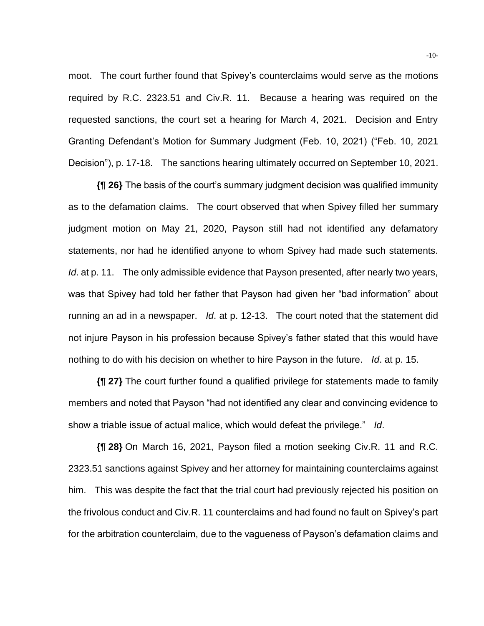moot. The court further found that Spivey's counterclaims would serve as the motions required by R.C. 2323.51 and Civ.R. 11. Because a hearing was required on the requested sanctions, the court set a hearing for March 4, 2021. Decision and Entry Granting Defendant's Motion for Summary Judgment (Feb. 10, 2021) ("Feb. 10, 2021 Decision"), p. 17-18. The sanctions hearing ultimately occurred on September 10, 2021.

**{¶ 26}** The basis of the court's summary judgment decision was qualified immunity as to the defamation claims. The court observed that when Spivey filled her summary judgment motion on May 21, 2020, Payson still had not identified any defamatory statements, nor had he identified anyone to whom Spivey had made such statements. *Id.* at p. 11. The only admissible evidence that Payson presented, after nearly two years, was that Spivey had told her father that Payson had given her "bad information" about running an ad in a newspaper. *Id*. at p. 12-13. The court noted that the statement did not injure Payson in his profession because Spivey's father stated that this would have nothing to do with his decision on whether to hire Payson in the future. *Id*. at p. 15.

**{¶ 27}** The court further found a qualified privilege for statements made to family members and noted that Payson "had not identified any clear and convincing evidence to show a triable issue of actual malice, which would defeat the privilege." *Id*.

**{¶ 28}** On March 16, 2021, Payson filed a motion seeking Civ.R. 11 and R.C. 2323.51 sanctions against Spivey and her attorney for maintaining counterclaims against him. This was despite the fact that the trial court had previously rejected his position on the frivolous conduct and Civ.R. 11 counterclaims and had found no fault on Spivey's part for the arbitration counterclaim, due to the vagueness of Payson's defamation claims and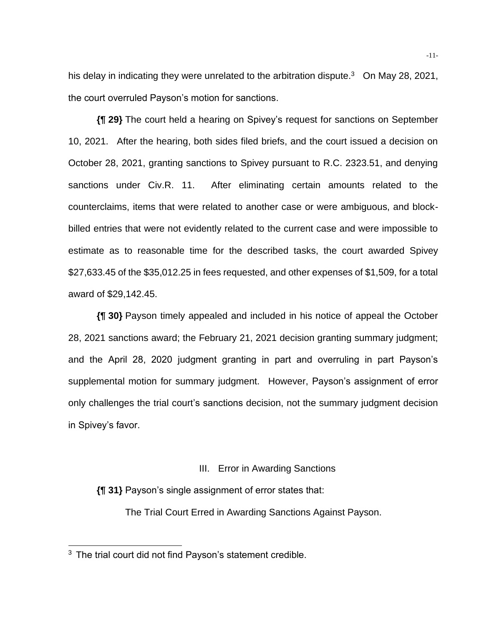his delay in indicating they were unrelated to the arbitration dispute. $3$  On May 28, 2021, the court overruled Payson's motion for sanctions.

**{¶ 29}** The court held a hearing on Spivey's request for sanctions on September 10, 2021. After the hearing, both sides filed briefs, and the court issued a decision on October 28, 2021, granting sanctions to Spivey pursuant to R.C. 2323.51, and denying sanctions under Civ.R. 11. After eliminating certain amounts related to the counterclaims, items that were related to another case or were ambiguous, and blockbilled entries that were not evidently related to the current case and were impossible to estimate as to reasonable time for the described tasks, the court awarded Spivey \$27,633.45 of the \$35,012.25 in fees requested, and other expenses of \$1,509, for a total award of \$29,142.45.

**{¶ 30}** Payson timely appealed and included in his notice of appeal the October 28, 2021 sanctions award; the February 21, 2021 decision granting summary judgment; and the April 28, 2020 judgment granting in part and overruling in part Payson's supplemental motion for summary judgment. However, Payson's assignment of error only challenges the trial court's sanctions decision, not the summary judgment decision in Spivey's favor.

## III. Error in Awarding Sanctions

**{¶ 31}** Payson's single assignment of error states that:

The Trial Court Erred in Awarding Sanctions Against Payson.

<sup>&</sup>lt;sup>3</sup> The trial court did not find Payson's statement credible.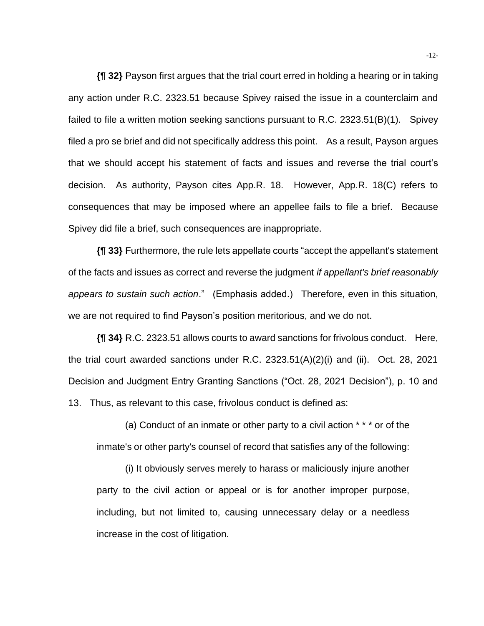**{¶ 32}** Payson first argues that the trial court erred in holding a hearing or in taking any action under R.C. 2323.51 because Spivey raised the issue in a counterclaim and failed to file a written motion seeking sanctions pursuant to R.C. 2323.51(B)(1). Spivey filed a pro se brief and did not specifically address this point. As a result, Payson argues that we should accept his statement of facts and issues and reverse the trial court's decision. As authority, Payson cites App.R. 18. However, App.R. 18(C) refers to consequences that may be imposed where an appellee fails to file a brief. Because Spivey did file a brief, such consequences are inappropriate.

**{¶ 33}** Furthermore, the rule lets appellate courts "accept the appellant's statement of the facts and issues as correct and reverse the judgment *if appellant's brief reasonably appears to sustain such action*." (Emphasis added.) Therefore, even in this situation, we are not required to find Payson's position meritorious, and we do not.

**{¶ 34}** R.C. 2323.51 allows courts to award sanctions for frivolous conduct. Here, the trial court awarded sanctions under R.C. 2323.51(A)(2)(i) and (ii). Oct. 28, 2021 Decision and Judgment Entry Granting Sanctions ("Oct. 28, 2021 Decision"), p. 10 and 13. Thus, as relevant to this case, frivolous conduct is defined as:

(a) Conduct of an inmate or other party to a civil action \* \* \* or of the inmate's or other party's counsel of record that satisfies any of the following:

(i) It obviously serves merely to harass or maliciously injure another party to the civil action or appeal or is for another improper purpose, including, but not limited to, causing unnecessary delay or a needless increase in the cost of litigation.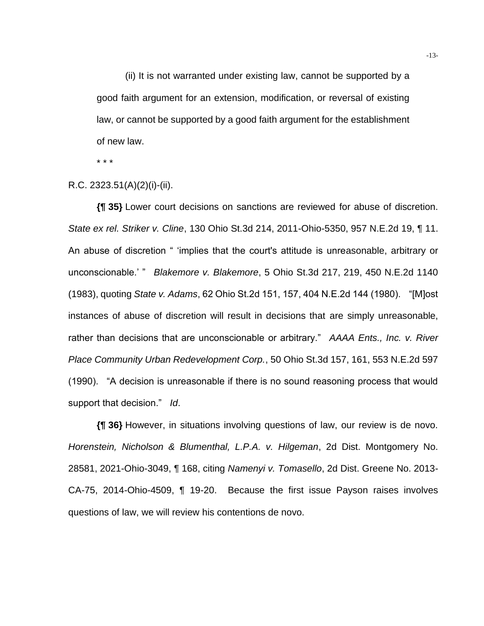(ii) It is not warranted under existing law, cannot be supported by a good faith argument for an extension, modification, or reversal of existing law, or cannot be supported by a good faith argument for the establishment of new law.

\* \* \*

#### R.C. 2323.51(A)(2)(i)-(ii).

**{¶ 35}** Lower court decisions on sanctions are reviewed for abuse of discretion. *State ex rel. Striker v. Cline*, 130 Ohio St.3d 214, 2011-Ohio-5350, 957 N.E.2d 19, ¶ 11. An abuse of discretion " 'implies that the court's attitude is unreasonable, arbitrary or unconscionable.' " *Blakemore v. Blakemore*, 5 Ohio St.3d 217, 219, 450 N.E.2d 1140 (1983), quoting *State v. Adams*, 62 Ohio St.2d 151, 157, 404 N.E.2d 144 (1980). "[M]ost instances of abuse of discretion will result in decisions that are simply unreasonable, rather than decisions that are unconscionable or arbitrary." *AAAA Ents., Inc. v. River Place Community Urban Redevelopment Corp.*, 50 Ohio St.3d 157, 161, 553 N.E.2d 597 (1990). "A decision is unreasonable if there is no sound reasoning process that would support that decision." *Id*.

**{¶ 36}** However, in situations involving questions of law, our review is de novo. *Horenstein, Nicholson & Blumenthal, L.P.A. v. Hilgeman*, 2d Dist. Montgomery No. 28581, 2021-Ohio-3049, ¶ 168, citing *Namenyi v. Tomasello*, 2d Dist. Greene No. 2013- CA-75, 2014-Ohio-4509, ¶ 19-20. Because the first issue Payson raises involves questions of law, we will review his contentions de novo.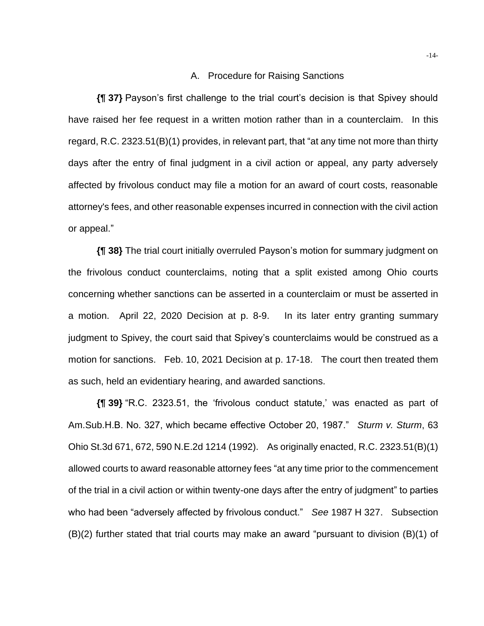## A. Procedure for Raising Sanctions

**{¶ 37}** Payson's first challenge to the trial court's decision is that Spivey should have raised her fee request in a written motion rather than in a counterclaim. In this regard, R.C. 2323.51(B)(1) provides, in relevant part, that "at any time not more than thirty days after the entry of final judgment in a civil action or appeal, any party adversely affected by frivolous conduct may file a motion for an award of court costs, reasonable attorney's fees, and other reasonable expenses incurred in connection with the civil action or appeal."

**{¶ 38}** The trial court initially overruled Payson's motion for summary judgment on the frivolous conduct counterclaims, noting that a split existed among Ohio courts concerning whether sanctions can be asserted in a counterclaim or must be asserted in a motion. April 22, 2020 Decision at p. 8-9. In its later entry granting summary judgment to Spivey, the court said that Spivey's counterclaims would be construed as a motion for sanctions. Feb. 10, 2021 Decision at p. 17-18. The court then treated them as such, held an evidentiary hearing, and awarded sanctions.

**{¶ 39}** "R.C. 2323.51, the 'frivolous conduct statute,' was enacted as part of Am.Sub.H.B. No. 327, which became effective October 20, 1987." *Sturm v. Sturm*, 63 Ohio St.3d 671, 672, 590 N.E.2d 1214 (1992). As originally enacted, R.C. 2323.51(B)(1) allowed courts to award reasonable attorney fees "at any time prior to the commencement of the trial in a civil action or within twenty-one days after the entry of judgment" to parties who had been "adversely affected by frivolous conduct." *See* 1987 H 327. Subsection (B)(2) further stated that trial courts may make an award "pursuant to division (B)(1) of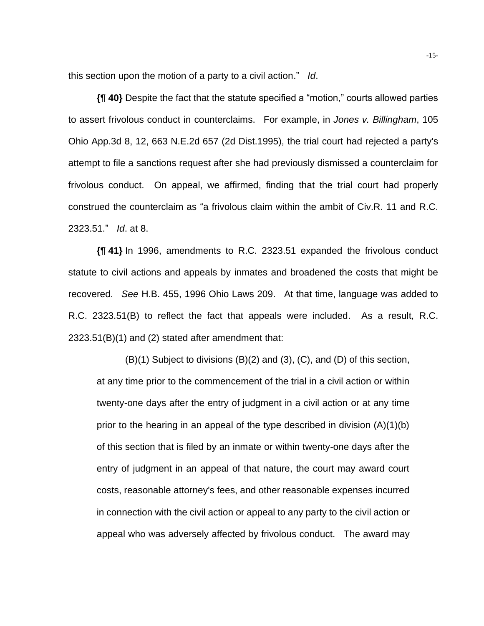this section upon the motion of a party to a civil action." *Id*.

**{¶ 40}** Despite the fact that the statute specified a "motion," courts allowed parties to assert frivolous conduct in counterclaims. For example, in *Jones v. Billingham*, 105 Ohio App.3d 8, 12, 663 N.E.2d 657 (2d Dist.1995), the trial court had rejected a party's attempt to file a sanctions request after she had previously dismissed a counterclaim for frivolous conduct. On appeal, we affirmed, finding that the trial court had properly construed the counterclaim as "a frivolous claim within the ambit of Civ.R. 11 and R.C. 2323.51." *Id*. at 8.

**{¶ 41}** In 1996, amendments to R.C. 2323.51 expanded the frivolous conduct statute to civil actions and appeals by inmates and broadened the costs that might be recovered. *See* H.B. 455, 1996 Ohio Laws 209. At that time, language was added to R.C. 2323.51(B) to reflect the fact that appeals were included. As a result, R.C. 2323.51(B)(1) and (2) stated after amendment that:

(B)(1) Subject to divisions (B)(2) and (3), (C), and (D) of this section, at any time prior to the commencement of the trial in a civil action or within twenty-one days after the entry of judgment in a civil action or at any time prior to the hearing in an appeal of the type described in division (A)(1)(b) of this section that is filed by an inmate or within twenty-one days after the entry of judgment in an appeal of that nature, the court may award court costs, reasonable attorney's fees, and other reasonable expenses incurred in connection with the civil action or appeal to any party to the civil action or appeal who was adversely affected by frivolous conduct. The award may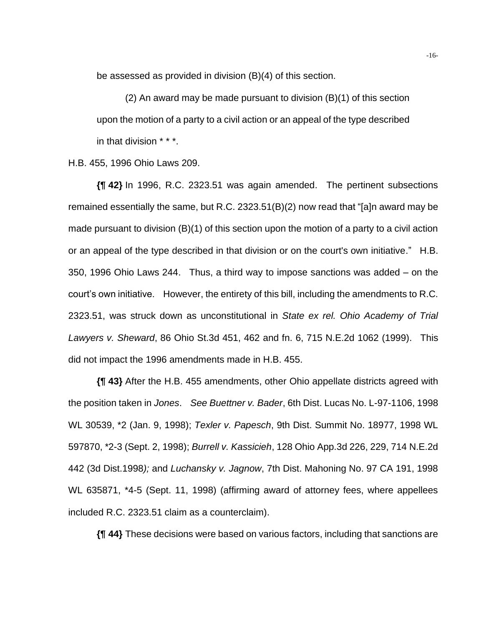be assessed as provided in division (B)(4) of this section.

(2) An award may be made pursuant to division (B)(1) of this section upon the motion of a party to a civil action or an appeal of the type described in that division \* \* \*.

H.B. 455, 1996 Ohio Laws 209.

**{¶ 42}** In 1996, R.C. 2323.51 was again amended. The pertinent subsections remained essentially the same, but R.C. 2323.51(B)(2) now read that "[a]n award may be made pursuant to division (B)(1) of this section upon the motion of a party to a civil action or an appeal of the type described in that division or on the court's own initiative." H.B. 350, 1996 Ohio Laws 244. Thus, a third way to impose sanctions was added – on the court's own initiative. However, the entirety of this bill, including the amendments to R.C. 2323.51, was struck down as unconstitutional in *State ex rel. Ohio Academy of Trial Lawyers v. Sheward*, 86 Ohio St.3d 451, 462 and fn. 6, 715 N.E.2d 1062 (1999). This did not impact the 1996 amendments made in H.B. 455.

**{¶ 43}** After the H.B. 455 amendments, other Ohio appellate districts agreed with the position taken in *Jones*. *See Buettner v. Bader*, 6th Dist. Lucas No. L-97-1106, 1998 WL 30539, \*2 (Jan. 9, 1998); *Texler v. Papesch*, 9th Dist. Summit No. 18977, 1998 WL 597870, \*2-3 (Sept. 2, 1998); *Burrell v. Kassicieh*, 128 Ohio App.3d 226, 229, 714 N.E.2d 442 (3d Dist.1998*);* and *Luchansky v. Jagnow*, 7th Dist. Mahoning No. 97 CA 191, 1998 WL 635871, \*4-5 (Sept. 11, 1998) (affirming award of attorney fees, where appellees included R.C. 2323.51 claim as a counterclaim).

**{¶ 44}** These decisions were based on various factors, including that sanctions are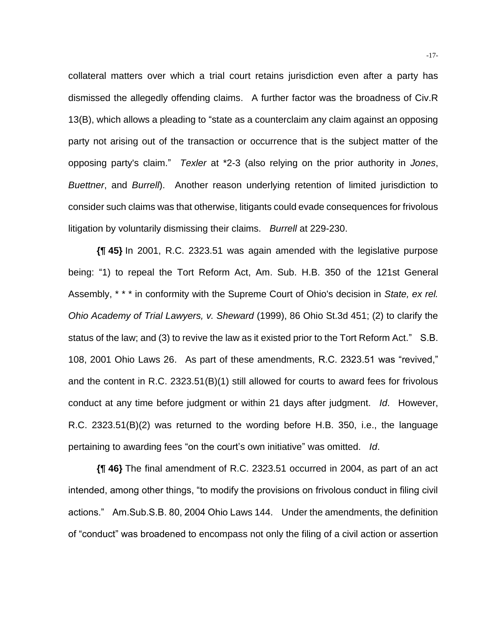collateral matters over which a trial court retains jurisdiction even after a party has dismissed the allegedly offending claims. A further factor was the broadness of Civ.R 13(B), which allows a pleading to "state as a counterclaim any claim against an opposing party not arising out of the transaction or occurrence that is the subject matter of the opposing party's claim." *Texler* at \*2-3 (also relying on the prior authority in *Jones*, *Buettner*, and *Burrell*). Another reason underlying retention of limited jurisdiction to consider such claims was that otherwise, litigants could evade consequences for frivolous litigation by voluntarily dismissing their claims. *Burrell* at 229-230.

**{¶ 45}** In 2001, R.C. 2323.51 was again amended with the legislative purpose being: "1) to repeal the Tort Reform Act, Am. Sub. H.B. 350 of the 121st General Assembly, \* \* \* in conformity with the Supreme Court of Ohio's decision in *State, ex rel. Ohio Academy of Trial Lawyers, v. Sheward* (1999), 86 Ohio St.3d 451; (2) to clarify the status of the law; and (3) to revive the law as it existed prior to the Tort Reform Act." S.B. 108, 2001 Ohio Laws 26. As part of these amendments, R.C. 2323.51 was "revived," and the content in R.C. 2323.51(B)(1) still allowed for courts to award fees for frivolous conduct at any time before judgment or within 21 days after judgment. *Id*. However, R.C. 2323.51(B)(2) was returned to the wording before H.B. 350, i.e., the language pertaining to awarding fees "on the court's own initiative" was omitted. *Id*.

**{¶ 46}** The final amendment of R.C. 2323.51 occurred in 2004, as part of an act intended, among other things, "to modify the provisions on frivolous conduct in filing civil actions." Am.Sub.S.B. 80, 2004 Ohio Laws 144. Under the amendments, the definition of "conduct" was broadened to encompass not only the filing of a civil action or assertion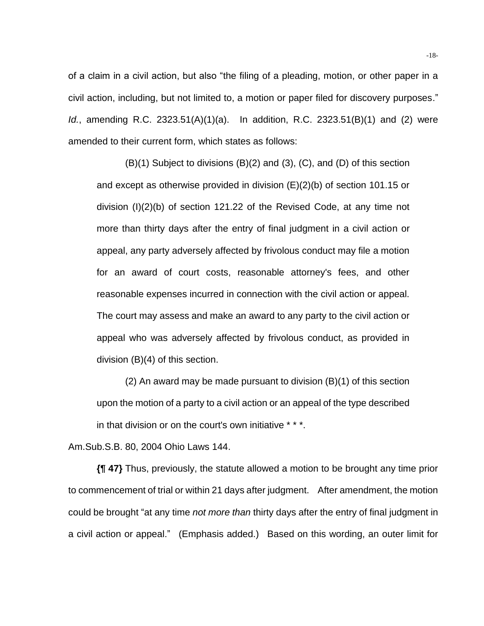of a claim in a civil action, but also "the filing of a pleading, motion, or other paper in a civil action, including, but not limited to, a motion or paper filed for discovery purposes." *Id.*, amending R.C. 2323.51(A)(1)(a). In addition, R.C. 2323.51(B)(1) and (2) were amended to their current form, which states as follows:

(B)(1) Subject to divisions (B)(2) and (3), (C), and (D) of this section and except as otherwise provided in division (E)(2)(b) of section 101.15 or division (I)(2)(b) of section 121.22 of the Revised Code, at any time not more than thirty days after the entry of final judgment in a civil action or appeal, any party adversely affected by frivolous conduct may file a motion for an award of court costs, reasonable attorney's fees, and other reasonable expenses incurred in connection with the civil action or appeal. The court may assess and make an award to any party to the civil action or appeal who was adversely affected by frivolous conduct, as provided in division (B)(4) of this section.

(2) An award may be made pursuant to division (B)(1) of this section upon the motion of a party to a civil action or an appeal of the type described in that division or on the court's own initiative \* \* \*.

Am.Sub.S.B. 80, 2004 Ohio Laws 144.

**{¶ 47}** Thus, previously, the statute allowed a motion to be brought any time prior to commencement of trial or within 21 days after judgment. After amendment, the motion could be brought "at any time *not more than* thirty days after the entry of final judgment in a civil action or appeal." (Emphasis added.) Based on this wording, an outer limit for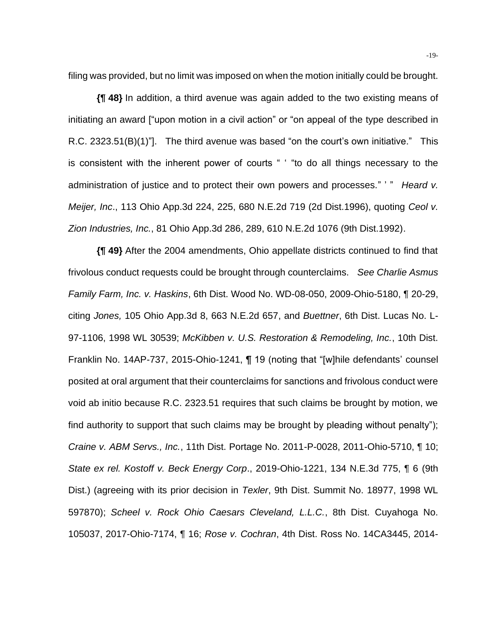filing was provided, but no limit was imposed on when the motion initially could be brought.

**{¶ 48}** In addition, a third avenue was again added to the two existing means of initiating an award ["upon motion in a civil action" or "on appeal of the type described in R.C. 2323.51(B)(1)"]. The third avenue was based "on the court's own initiative." This is consistent with the inherent power of courts " ' "to do all things necessary to the administration of justice and to protect their own powers and processes." ' " *Heard v. Meijer, Inc*., 113 Ohio App.3d 224, 225, 680 N.E.2d 719 (2d Dist.1996), quoting *Ceol v. Zion Industries, Inc.*, 81 Ohio App.3d 286, 289, 610 N.E.2d 1076 (9th Dist.1992).

**{¶ 49}** After the 2004 amendments, Ohio appellate districts continued to find that frivolous conduct requests could be brought through counterclaims. *See Charlie Asmus Family Farm, Inc. v. Haskins*, 6th Dist. Wood No. WD-08-050, 2009-Ohio-5180, ¶ 20-29, citing *Jones,* 105 Ohio App.3d 8, 663 N.E.2d 657, and *Buettner*, 6th Dist. Lucas No. L-97-1106, 1998 WL 30539; *McKibben v. U.S. Restoration & Remodeling, Inc.*, 10th Dist. Franklin No. 14AP-737, 2015-Ohio-1241, ¶ 19 (noting that "[w]hile defendants' counsel posited at oral argument that their counterclaims for sanctions and frivolous conduct were void ab initio because R.C. 2323.51 requires that such claims be brought by motion, we find authority to support that such claims may be brought by pleading without penalty"); *Craine v. ABM Servs., Inc.*, 11th Dist. Portage No. 2011-P-0028, 2011-Ohio-5710, ¶ 10; *State ex rel. Kostoff v. Beck Energy Corp*., 2019-Ohio-1221, 134 N.E.3d 775, ¶ 6 (9th Dist.) (agreeing with its prior decision in *Texler*, 9th Dist. Summit No. 18977, 1998 WL 597870); *Scheel v. Rock Ohio Caesars Cleveland, L.L.C.*, 8th Dist. Cuyahoga No. 105037, 2017-Ohio-7174, ¶ 16; *Rose v. Cochran*, 4th Dist. Ross No. 14CA3445, 2014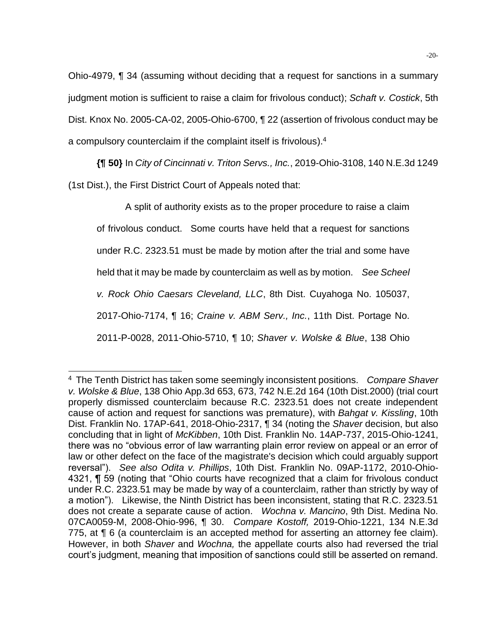Ohio-4979, ¶ 34 (assuming without deciding that a request for sanctions in a summary judgment motion is sufficient to raise a claim for frivolous conduct); *Schaft v. Costick*, 5th Dist. Knox No. 2005-CA-02, 2005-Ohio-6700, ¶ 22 (assertion of frivolous conduct may be a compulsory counterclaim if the complaint itself is frivolous). 4

**{¶ 50}** In *City of Cincinnati v. Triton Servs., Inc.*, 2019-Ohio-3108, 140 N.E.3d 1249

(1st Dist.), the First District Court of Appeals noted that:

A split of authority exists as to the proper procedure to raise a claim of frivolous conduct. Some courts have held that a request for sanctions under R.C. 2323.51 must be made by motion after the trial and some have held that it may be made by counterclaim as well as by motion. *See Scheel v. Rock Ohio Caesars Cleveland, LLC*, 8th Dist. Cuyahoga No. 105037, 2017-Ohio-7174, ¶ 16; *Craine v. ABM Serv., Inc.*, 11th Dist. Portage No. 2011-P-0028, 2011-Ohio-5710, ¶ 10; *Shaver v. Wolske & Blue*, 138 Ohio

<sup>4</sup> The Tenth District has taken some seemingly inconsistent positions. *Compare Shaver v. Wolske & Blue*, 138 Ohio App.3d 653, 673, 742 N.E.2d 164 (10th Dist.2000) (trial court properly dismissed counterclaim because R.C. 2323.51 does not create independent cause of action and request for sanctions was premature), with *Bahgat v. Kissling*, 10th Dist. Franklin No. 17AP-641, 2018-Ohio-2317, ¶ 34 (noting the *Shaver* decision, but also concluding that in light of *McKibben*, 10th Dist. Franklin No. 14AP-737, 2015-Ohio-1241, there was no "obvious error of law warranting plain error review on appeal or an error of law or other defect on the face of the magistrate's decision which could arguably support reversal"). *See also Odita v. Phillips*, 10th Dist. Franklin No. 09AP-1172, 2010-Ohio-4321, ¶ 59 (noting that "Ohio courts have recognized that a claim for frivolous conduct under R.C. 2323.51 may be made by way of a counterclaim, rather than strictly by way of a motion"). Likewise, the Ninth District has been inconsistent, stating that R.C. 2323.51 does not create a separate cause of action. *Wochna v. Mancino*, 9th Dist. Medina No. 07CA0059-M, 2008-Ohio-996, ¶ 30. *Compare Kostoff,* 2019-Ohio-1221, 134 N.E.3d 775, at ¶ 6 (a counterclaim is an accepted method for asserting an attorney fee claim). However, in both *Shaver* and *Wochna,* the appellate courts also had reversed the trial court's judgment, meaning that imposition of sanctions could still be asserted on remand.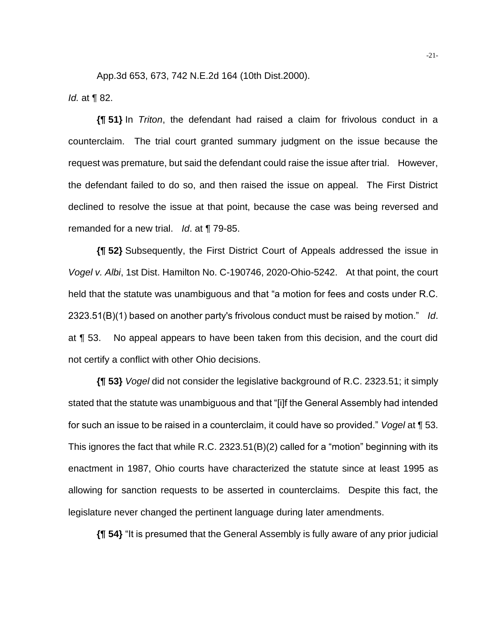App.3d 653, 673, 742 N.E.2d 164 (10th Dist.2000). *Id.* at ¶ 82.

**{¶ 51}** In *Triton*, the defendant had raised a claim for frivolous conduct in a counterclaim. The trial court granted summary judgment on the issue because the request was premature, but said the defendant could raise the issue after trial. However, the defendant failed to do so, and then raised the issue on appeal. The First District declined to resolve the issue at that point, because the case was being reversed and remanded for a new trial. *Id*. at ¶ 79-85.

**{¶ 52}** Subsequently, the First District Court of Appeals addressed the issue in *Vogel v. Albi*, 1st Dist. Hamilton No. C-190746, 2020-Ohio-5242. At that point, the court held that the statute was unambiguous and that "a motion for fees and costs under R.C. 2323.51(B)(1) based on another party's frivolous conduct must be raised by motion." *Id*. at ¶ 53. No appeal appears to have been taken from this decision, and the court did not certify a conflict with other Ohio decisions.

**{¶ 53}** *Vogel* did not consider the legislative background of R.C. 2323.51; it simply stated that the statute was unambiguous and that "[i]f the General Assembly had intended for such an issue to be raised in a counterclaim, it could have so provided." *Vogel* at ¶ 53. This ignores the fact that while R.C. 2323.51(B)(2) called for a "motion" beginning with its enactment in 1987, Ohio courts have characterized the statute since at least 1995 as allowing for sanction requests to be asserted in counterclaims. Despite this fact, the legislature never changed the pertinent language during later amendments.

**{¶ 54}** "It is presumed that the General Assembly is fully aware of any prior judicial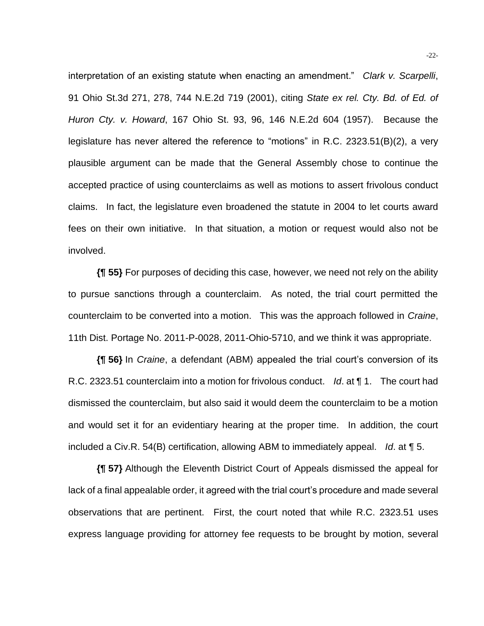interpretation of an existing statute when enacting an amendment." *Clark v. Scarpelli*, 91 Ohio St.3d 271, 278, 744 N.E.2d 719 (2001), citing *State ex rel. Cty. Bd. of Ed. of Huron Cty. v. Howard*, 167 Ohio St. 93, 96, 146 N.E.2d 604 (1957). Because the legislature has never altered the reference to "motions" in R.C. 2323.51(B)(2), a very plausible argument can be made that the General Assembly chose to continue the accepted practice of using counterclaims as well as motions to assert frivolous conduct claims. In fact, the legislature even broadened the statute in 2004 to let courts award fees on their own initiative. In that situation, a motion or request would also not be involved.

**{¶ 55}** For purposes of deciding this case, however, we need not rely on the ability to pursue sanctions through a counterclaim. As noted, the trial court permitted the counterclaim to be converted into a motion. This was the approach followed in *Craine*, 11th Dist. Portage No. 2011-P-0028, 2011-Ohio-5710, and we think it was appropriate.

**{¶ 56}** In *Craine*, a defendant (ABM) appealed the trial court's conversion of its R.C. 2323.51 counterclaim into a motion for frivolous conduct. *Id*. at ¶ 1. The court had dismissed the counterclaim, but also said it would deem the counterclaim to be a motion and would set it for an evidentiary hearing at the proper time. In addition, the court included a Civ.R. 54(B) certification, allowing ABM to immediately appeal. *Id*. at ¶ 5.

**{¶ 57}** Although the Eleventh District Court of Appeals dismissed the appeal for lack of a final appealable order, it agreed with the trial court's procedure and made several observations that are pertinent. First, the court noted that while R.C. 2323.51 uses express language providing for attorney fee requests to be brought by motion, several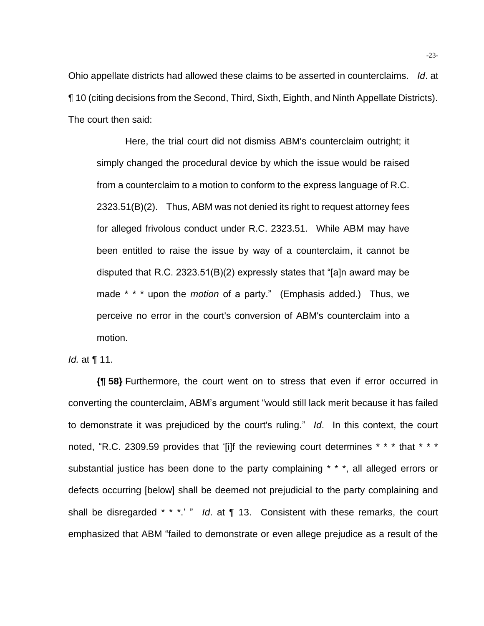Ohio appellate districts had allowed these claims to be asserted in counterclaims. *Id*. at ¶ 10 (citing decisions from the Second, Third, Sixth, Eighth, and Ninth Appellate Districts). The court then said:

Here, the trial court did not dismiss ABM's counterclaim outright; it simply changed the procedural device by which the issue would be raised from a counterclaim to a motion to conform to the express language of R.C. 2323.51(B)(2). Thus, ABM was not denied its right to request attorney fees for alleged frivolous conduct under R.C. 2323.51. While ABM may have been entitled to raise the issue by way of a counterclaim, it cannot be disputed that R.C. 2323.51(B)(2) expressly states that "[a]n award may be made \* \* \* upon the *motion* of a party." (Emphasis added.) Thus, we perceive no error in the court's conversion of ABM's counterclaim into a motion.

*Id.* at ¶ 11.

**{¶ 58}** Furthermore, the court went on to stress that even if error occurred in converting the counterclaim, ABM's argument "would still lack merit because it has failed to demonstrate it was prejudiced by the court's ruling." *Id*. In this context, the court noted, "R.C. 2309.59 provides that '[i]f the reviewing court determines \* \* \* that \* \* \* substantial justice has been done to the party complaining \* \* \*, all alleged errors or defects occurring [below] shall be deemed not prejudicial to the party complaining and shall be disregarded \* \* \*.' " *Id*. at ¶ 13. Consistent with these remarks, the court emphasized that ABM "failed to demonstrate or even allege prejudice as a result of the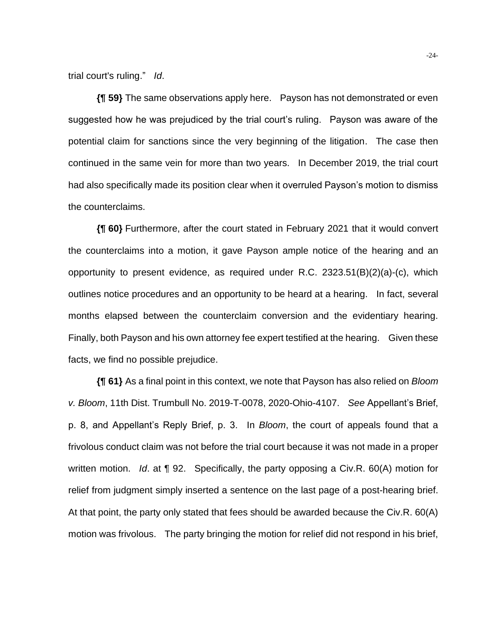trial court's ruling." *Id*.

**{¶ 59}** The same observations apply here. Payson has not demonstrated or even suggested how he was prejudiced by the trial court's ruling. Payson was aware of the potential claim for sanctions since the very beginning of the litigation. The case then continued in the same vein for more than two years. In December 2019, the trial court had also specifically made its position clear when it overruled Payson's motion to dismiss the counterclaims.

**{¶ 60}** Furthermore, after the court stated in February 2021 that it would convert the counterclaims into a motion, it gave Payson ample notice of the hearing and an opportunity to present evidence, as required under R.C.  $2323.51(B)(2)(a)-(c)$ , which outlines notice procedures and an opportunity to be heard at a hearing. In fact, several months elapsed between the counterclaim conversion and the evidentiary hearing. Finally, both Payson and his own attorney fee expert testified at the hearing. Given these facts, we find no possible prejudice.

**{¶ 61}** As a final point in this context, we note that Payson has also relied on *Bloom v. Bloom*, 11th Dist. Trumbull No. 2019-T-0078, 2020-Ohio-4107. *See* Appellant's Brief, p. 8, and Appellant's Reply Brief, p. 3. In *Bloom*, the court of appeals found that a frivolous conduct claim was not before the trial court because it was not made in a proper written motion. *Id*. at ¶ 92. Specifically, the party opposing a Civ.R. 60(A) motion for relief from judgment simply inserted a sentence on the last page of a post-hearing brief. At that point, the party only stated that fees should be awarded because the Civ.R. 60(A) motion was frivolous. The party bringing the motion for relief did not respond in his brief,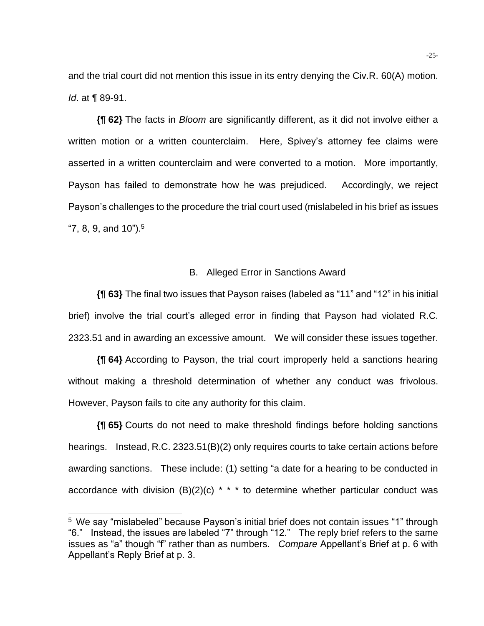and the trial court did not mention this issue in its entry denying the Civ.R. 60(A) motion. *Id*. at ¶ 89-91.

**{¶ 62}** The facts in *Bloom* are significantly different, as it did not involve either a written motion or a written counterclaim. Here, Spivey's attorney fee claims were asserted in a written counterclaim and were converted to a motion. More importantly, Payson has failed to demonstrate how he was prejudiced. Accordingly, we reject Payson's challenges to the procedure the trial court used (mislabeled in his brief as issues  $"7, 8, 9,$  and 10").<sup>5</sup>

#### B. Alleged Error in Sanctions Award

**{¶ 63}** The final two issues that Payson raises (labeled as "11" and "12" in his initial brief) involve the trial court's alleged error in finding that Payson had violated R.C. 2323.51 and in awarding an excessive amount. We will consider these issues together.

**{¶ 64}** According to Payson, the trial court improperly held a sanctions hearing without making a threshold determination of whether any conduct was frivolous. However, Payson fails to cite any authority for this claim.

**{¶ 65}** Courts do not need to make threshold findings before holding sanctions hearings. Instead, R.C. 2323.51(B)(2) only requires courts to take certain actions before awarding sanctions. These include: (1) setting "a date for a hearing to be conducted in accordance with division  $(B)(2)(c)$  \* \* \* to determine whether particular conduct was

<sup>5</sup> We say "mislabeled" because Payson's initial brief does not contain issues "1" through "6." Instead, the issues are labeled "7" through "12." The reply brief refers to the same issues as "a" though "f" rather than as numbers. *Compare* Appellant's Brief at p. 6 with Appellant's Reply Brief at p. 3.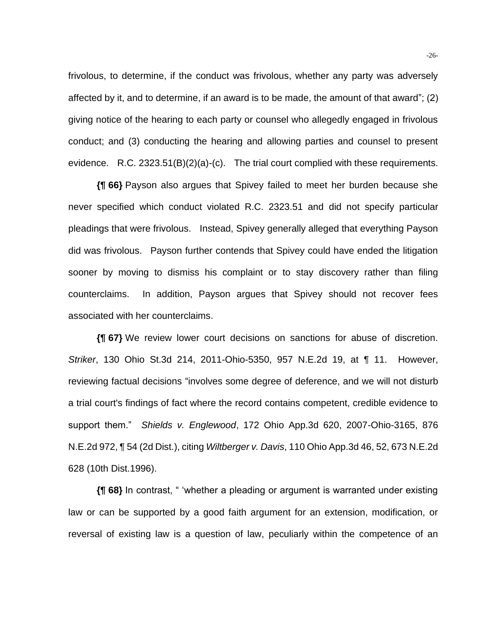frivolous, to determine, if the conduct was frivolous, whether any party was adversely affected by it, and to determine, if an award is to be made, the amount of that award"; (2) giving notice of the hearing to each party or counsel who allegedly engaged in frivolous conduct; and (3) conducting the hearing and allowing parties and counsel to present evidence. R.C. 2323.51(B)(2)(a)-(c). The trial court complied with these requirements.

**{¶ 66}** Payson also argues that Spivey failed to meet her burden because she never specified which conduct violated R.C. 2323.51 and did not specify particular pleadings that were frivolous. Instead, Spivey generally alleged that everything Payson did was frivolous. Payson further contends that Spivey could have ended the litigation sooner by moving to dismiss his complaint or to stay discovery rather than filing counterclaims. In addition, Payson argues that Spivey should not recover fees associated with her counterclaims.

**{¶ 67}** We review lower court decisions on sanctions for abuse of discretion. *Striker*, 130 Ohio St.3d 214, 2011-Ohio-5350, 957 N.E.2d 19, at ¶ 11. However, reviewing factual decisions "involves some degree of deference, and we will not disturb a trial court's findings of fact where the record contains competent, credible evidence to support them." *Shields v. Englewood*, 172 Ohio App.3d 620, 2007-Ohio-3165, 876 N.E.2d 972, ¶ 54 (2d Dist.), citing *Wiltberger v. Davis*, 110 Ohio App.3d 46, 52, 673 N.E.2d 628 (10th Dist.1996).

**{¶ 68}** In contrast, " 'whether a pleading or argument is warranted under existing law or can be supported by a good faith argument for an extension, modification, or reversal of existing law is a question of law, peculiarly within the competence of an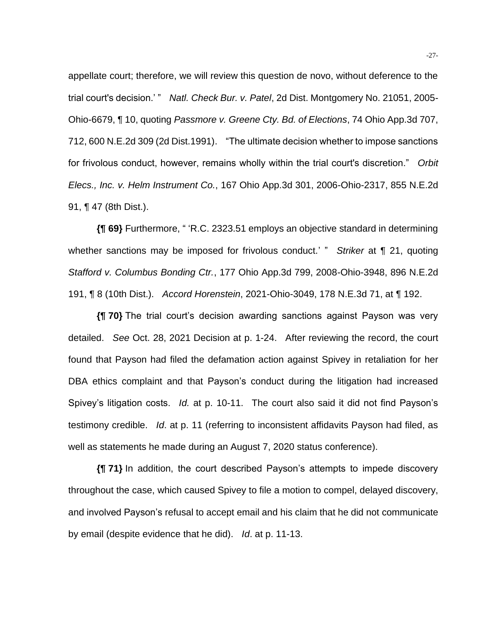appellate court; therefore, we will review this question de novo, without deference to the trial court's decision.' " *Natl. Check Bur. v. Patel*, 2d Dist. Montgomery No. 21051, 2005- Ohio-6679, ¶ 10, quoting *Passmore v. Greene Cty. Bd. of Elections*, 74 Ohio App.3d 707, 712, 600 N.E.2d 309 (2d Dist.1991). "The ultimate decision whether to impose sanctions for frivolous conduct, however, remains wholly within the trial court's discretion." *Orbit Elecs., Inc. v. Helm Instrument Co.*, 167 Ohio App.3d 301, 2006-Ohio-2317, 855 N.E.2d 91, ¶ 47 (8th Dist.).

**{¶ 69}** Furthermore, " 'R.C. 2323.51 employs an objective standard in determining whether sanctions may be imposed for frivolous conduct.' " *Striker* at ¶ 21, quoting *Stafford v. Columbus Bonding Ctr.*, 177 Ohio App.3d 799, 2008-Ohio-3948, 896 N.E.2d 191, ¶ 8 (10th Dist.). *Accord Horenstein*, 2021-Ohio-3049, 178 N.E.3d 71, at ¶ 192.

**{¶ 70}** The trial court's decision awarding sanctions against Payson was very detailed. *See* Oct. 28, 2021 Decision at p. 1-24. After reviewing the record, the court found that Payson had filed the defamation action against Spivey in retaliation for her DBA ethics complaint and that Payson's conduct during the litigation had increased Spivey's litigation costs. *Id.* at p. 10-11. The court also said it did not find Payson's testimony credible. *Id*. at p. 11 (referring to inconsistent affidavits Payson had filed, as well as statements he made during an August 7, 2020 status conference).

**{¶ 71}** In addition, the court described Payson's attempts to impede discovery throughout the case, which caused Spivey to file a motion to compel, delayed discovery, and involved Payson's refusal to accept email and his claim that he did not communicate by email (despite evidence that he did). *Id*. at p. 11-13.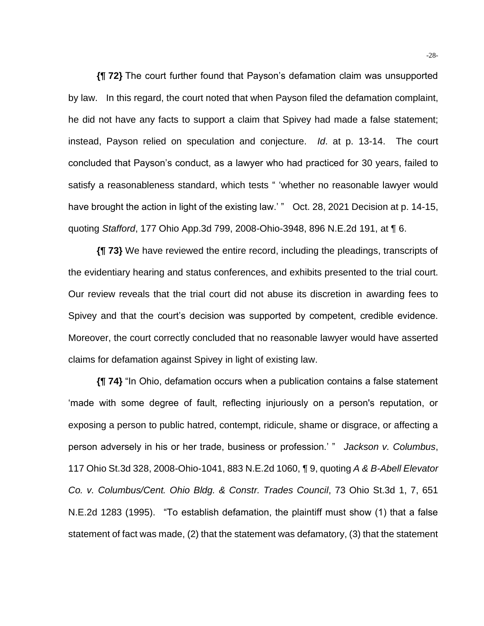**{¶ 72}** The court further found that Payson's defamation claim was unsupported by law. In this regard, the court noted that when Payson filed the defamation complaint, he did not have any facts to support a claim that Spivey had made a false statement; instead, Payson relied on speculation and conjecture. *Id*. at p. 13-14. The court concluded that Payson's conduct, as a lawyer who had practiced for 30 years, failed to satisfy a reasonableness standard, which tests " 'whether no reasonable lawyer would have brought the action in light of the existing law.' " Oct. 28, 2021 Decision at p. 14-15, quoting *Stafford*, 177 Ohio App.3d 799, 2008-Ohio-3948, 896 N.E.2d 191, at ¶ 6.

**{¶ 73}** We have reviewed the entire record, including the pleadings, transcripts of the evidentiary hearing and status conferences, and exhibits presented to the trial court. Our review reveals that the trial court did not abuse its discretion in awarding fees to Spivey and that the court's decision was supported by competent, credible evidence. Moreover, the court correctly concluded that no reasonable lawyer would have asserted claims for defamation against Spivey in light of existing law.

**{¶ 74}** "In Ohio, defamation occurs when a publication contains a false statement 'made with some degree of fault, reflecting injuriously on a person's reputation, or exposing a person to public hatred, contempt, ridicule, shame or disgrace, or affecting a person adversely in his or her trade, business or profession.' " *Jackson v. Columbus*, 117 Ohio St.3d 328, 2008-Ohio-1041, 883 N.E.2d 1060, ¶ 9, quoting *A & B-Abell Elevator Co. v. Columbus/Cent. Ohio Bldg. & Constr. Trades Council*, 73 Ohio St.3d 1, 7, 651 N.E.2d 1283 (1995). "To establish defamation, the plaintiff must show (1) that a false statement of fact was made, (2) that the statement was defamatory, (3) that the statement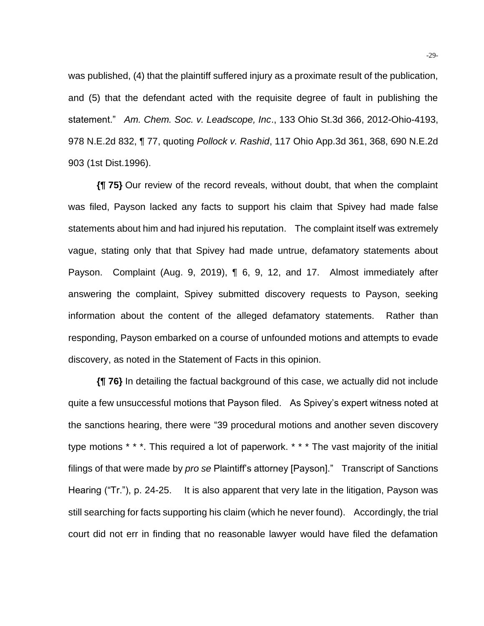was published, (4) that the plaintiff suffered injury as a proximate result of the publication, and (5) that the defendant acted with the requisite degree of fault in publishing the statement." *Am. Chem. Soc. v. Leadscope, Inc*., 133 Ohio St.3d 366, 2012-Ohio-4193, 978 N.E.2d 832, ¶ 77, quoting *Pollock v. Rashid*, 117 Ohio App.3d 361, 368, 690 N.E.2d 903 (1st Dist.1996).

**{¶ 75}** Our review of the record reveals, without doubt, that when the complaint was filed, Payson lacked any facts to support his claim that Spivey had made false statements about him and had injured his reputation. The complaint itself was extremely vague, stating only that that Spivey had made untrue, defamatory statements about Payson. Complaint (Aug. 9, 2019), ¶ 6, 9, 12, and 17. Almost immediately after answering the complaint, Spivey submitted discovery requests to Payson, seeking information about the content of the alleged defamatory statements. Rather than responding, Payson embarked on a course of unfounded motions and attempts to evade discovery, as noted in the Statement of Facts in this opinion.

**{¶ 76}** In detailing the factual background of this case, we actually did not include quite a few unsuccessful motions that Payson filed. As Spivey's expert witness noted at the sanctions hearing, there were "39 procedural motions and another seven discovery type motions \* \* \*. This required a lot of paperwork. \* \* \* The vast majority of the initial filings of that were made by *pro se* Plaintiff's attorney [Payson]." Transcript of Sanctions Hearing ("Tr."), p. 24-25. It is also apparent that very late in the litigation, Payson was still searching for facts supporting his claim (which he never found). Accordingly, the trial court did not err in finding that no reasonable lawyer would have filed the defamation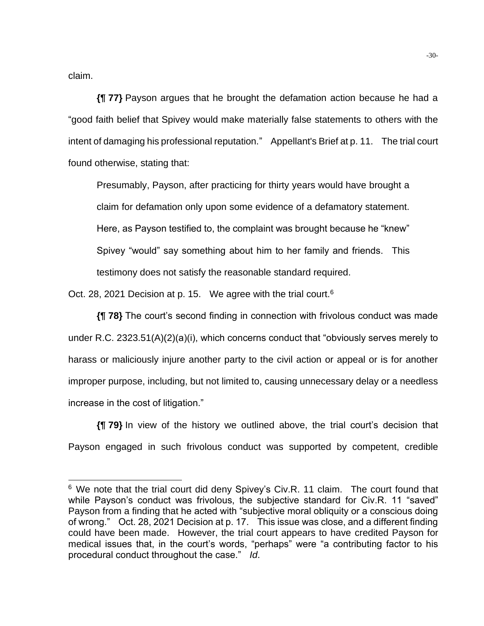claim.

**{¶ 77}** Payson argues that he brought the defamation action because he had a "good faith belief that Spivey would make materially false statements to others with the intent of damaging his professional reputation." Appellant's Brief at p. 11. The trial court found otherwise, stating that:

Presumably, Payson, after practicing for thirty years would have brought a claim for defamation only upon some evidence of a defamatory statement. Here, as Payson testified to, the complaint was brought because he "knew" Spivey "would" say something about him to her family and friends. This testimony does not satisfy the reasonable standard required.

Oct. 28, 2021 Decision at p. 15. We agree with the trial court.<sup>6</sup>

**{¶ 78}** The court's second finding in connection with frivolous conduct was made under R.C. 2323.51(A)(2)(a)(i), which concerns conduct that "obviously serves merely to harass or maliciously injure another party to the civil action or appeal or is for another improper purpose, including, but not limited to, causing unnecessary delay or a needless increase in the cost of litigation."

**{¶ 79}** In view of the history we outlined above, the trial court's decision that Payson engaged in such frivolous conduct was supported by competent, credible

 $6$  We note that the trial court did deny Spivey's Civ.R. 11 claim. The court found that while Payson's conduct was frivolous, the subjective standard for Civ.R. 11 "saved" Payson from a finding that he acted with "subjective moral obliquity or a conscious doing of wrong." Oct. 28, 2021 Decision at p. 17. This issue was close, and a different finding could have been made. However, the trial court appears to have credited Payson for medical issues that, in the court's words, "perhaps" were "a contributing factor to his procedural conduct throughout the case." *Id*.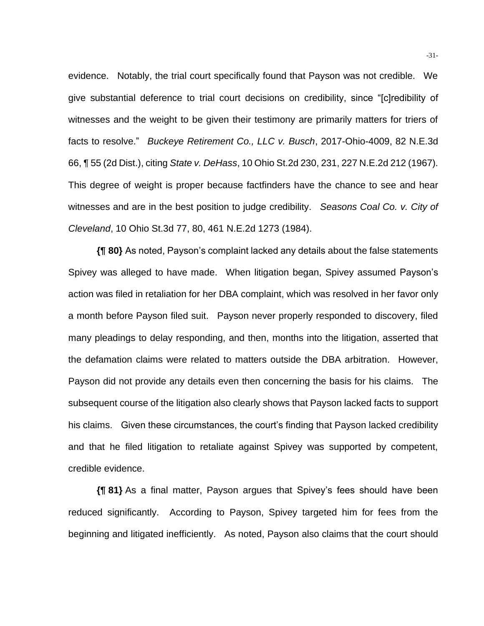evidence. Notably, the trial court specifically found that Payson was not credible. We give substantial deference to trial court decisions on credibility, since "[c]redibility of witnesses and the weight to be given their testimony are primarily matters for triers of facts to resolve." *Buckeye Retirement Co., LLC v. Busch*, 2017-Ohio-4009, 82 N.E.3d 66, ¶ 55 (2d Dist.), citing *State v. DeHass*, 10 Ohio St.2d 230, 231, 227 N.E.2d 212 (1967). This degree of weight is proper because factfinders have the chance to see and hear witnesses and are in the best position to judge credibility. *Seasons Coal Co. v. City of Cleveland*, 10 Ohio St.3d 77, 80, 461 N.E.2d 1273 (1984).

**{¶ 80}** As noted, Payson's complaint lacked any details about the false statements Spivey was alleged to have made. When litigation began, Spivey assumed Payson's action was filed in retaliation for her DBA complaint, which was resolved in her favor only a month before Payson filed suit. Payson never properly responded to discovery, filed many pleadings to delay responding, and then, months into the litigation, asserted that the defamation claims were related to matters outside the DBA arbitration. However, Payson did not provide any details even then concerning the basis for his claims. The subsequent course of the litigation also clearly shows that Payson lacked facts to support his claims. Given these circumstances, the court's finding that Payson lacked credibility and that he filed litigation to retaliate against Spivey was supported by competent, credible evidence.

**{¶ 81}** As a final matter, Payson argues that Spivey's fees should have been reduced significantly. According to Payson, Spivey targeted him for fees from the beginning and litigated inefficiently. As noted, Payson also claims that the court should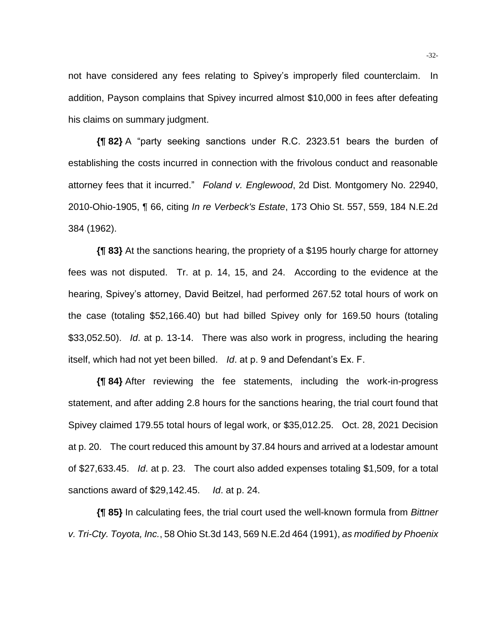not have considered any fees relating to Spivey's improperly filed counterclaim. In addition, Payson complains that Spivey incurred almost \$10,000 in fees after defeating his claims on summary judgment.

**{¶ 82}** A "party seeking sanctions under R.C. 2323.51 bears the burden of establishing the costs incurred in connection with the frivolous conduct and reasonable attorney fees that it incurred." *Foland v. Englewood*, 2d Dist. Montgomery No. 22940, 2010-Ohio-1905, ¶ 66, citing *In re Verbeck's Estate*, 173 Ohio St. 557, 559, 184 N.E.2d 384 (1962).

**{¶ 83}** At the sanctions hearing, the propriety of a \$195 hourly charge for attorney fees was not disputed. Tr. at p. 14, 15, and 24. According to the evidence at the hearing, Spivey's attorney, David Beitzel, had performed 267.52 total hours of work on the case (totaling \$52,166.40) but had billed Spivey only for 169.50 hours (totaling \$33,052.50). *Id*. at p. 13-14. There was also work in progress, including the hearing itself, which had not yet been billed. *Id*. at p. 9 and Defendant's Ex. F.

**{¶ 84}** After reviewing the fee statements, including the work-in-progress statement, and after adding 2.8 hours for the sanctions hearing, the trial court found that Spivey claimed 179.55 total hours of legal work, or \$35,012.25. Oct. 28, 2021 Decision at p. 20. The court reduced this amount by 37.84 hours and arrived at a lodestar amount of \$27,633.45. *Id*. at p. 23. The court also added expenses totaling \$1,509, for a total sanctions award of \$29,142.45. *Id*. at p. 24.

**{¶ 85}** In calculating fees, the trial court used the well-known formula from *Bittner v. Tri-Cty. Toyota, Inc.*, 58 Ohio St.3d 143, 569 N.E.2d 464 (1991), *as modified by Phoenix*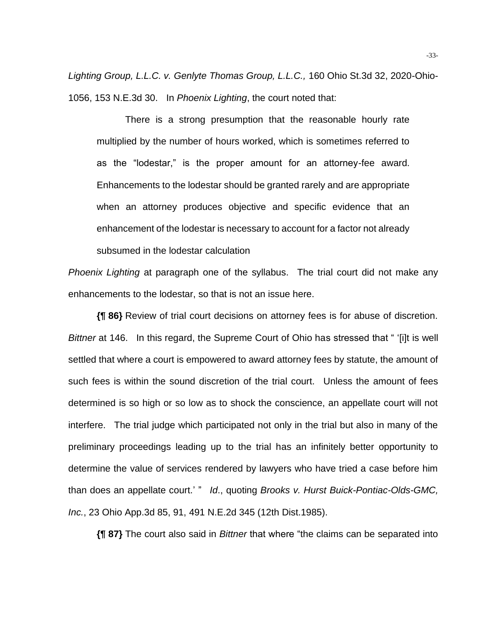*Lighting Group, L.L.C. v. Genlyte Thomas Group, L.L.C.,* 160 Ohio St.3d 32, 2020-Ohio-1056, 153 N.E.3d 30. In *Phoenix Lighting*, the court noted that:

There is a strong presumption that the reasonable hourly rate multiplied by the number of hours worked, which is sometimes referred to as the "lodestar," is the proper amount for an attorney-fee award. Enhancements to the lodestar should be granted rarely and are appropriate when an attorney produces objective and specific evidence that an enhancement of the lodestar is necessary to account for a factor not already subsumed in the lodestar calculation

*Phoenix Lighting* at paragraph one of the syllabus. The trial court did not make any enhancements to the lodestar, so that is not an issue here.

**{¶ 86}** Review of trial court decisions on attorney fees is for abuse of discretion. *Bittner* at 146. In this regard, the Supreme Court of Ohio has stressed that " '[i]t is well settled that where a court is empowered to award attorney fees by statute, the amount of such fees is within the sound discretion of the trial court. Unless the amount of fees determined is so high or so low as to shock the conscience, an appellate court will not interfere. The trial judge which participated not only in the trial but also in many of the preliminary proceedings leading up to the trial has an infinitely better opportunity to determine the value of services rendered by lawyers who have tried a case before him than does an appellate court.' " *Id*., quoting *Brooks v. Hurst Buick-Pontiac-Olds-GMC, Inc.*, 23 Ohio App.3d 85, 91, 491 N.E.2d 345 (12th Dist.1985).

**{¶ 87}** The court also said in *Bittner* that where "the claims can be separated into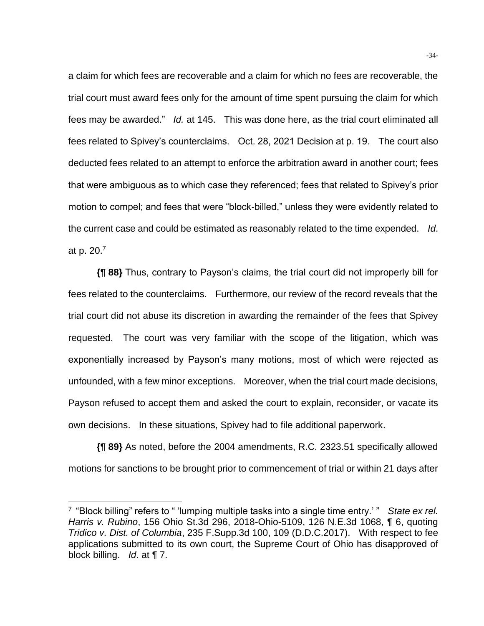a claim for which fees are recoverable and a claim for which no fees are recoverable, the trial court must award fees only for the amount of time spent pursuing the claim for which fees may be awarded." *Id.* at 145. This was done here, as the trial court eliminated all fees related to Spivey's counterclaims. Oct. 28, 2021 Decision at p. 19. The court also deducted fees related to an attempt to enforce the arbitration award in another court; fees that were ambiguous as to which case they referenced; fees that related to Spivey's prior motion to compel; and fees that were "block-billed," unless they were evidently related to the current case and could be estimated as reasonably related to the time expended. *Id*. at p. 20.<sup>7</sup>

**{¶ 88}** Thus, contrary to Payson's claims, the trial court did not improperly bill for fees related to the counterclaims. Furthermore, our review of the record reveals that the trial court did not abuse its discretion in awarding the remainder of the fees that Spivey requested. The court was very familiar with the scope of the litigation, which was exponentially increased by Payson's many motions, most of which were rejected as unfounded, with a few minor exceptions. Moreover, when the trial court made decisions, Payson refused to accept them and asked the court to explain, reconsider, or vacate its own decisions. In these situations, Spivey had to file additional paperwork.

**{¶ 89}** As noted, before the 2004 amendments, R.C. 2323.51 specifically allowed motions for sanctions to be brought prior to commencement of trial or within 21 days after

<sup>&</sup>lt;sup>7</sup> "Block billing" refers to " 'lumping multiple tasks into a single time entry.' " State ex rel. *Harris v. Rubino*, 156 Ohio St.3d 296, 2018-Ohio-5109, 126 N.E.3d 1068, ¶ 6, quoting *Tridico v. Dist. of Columbia*, 235 F.Supp.3d 100, 109 (D.D.C.2017). With respect to fee applications submitted to its own court, the Supreme Court of Ohio has disapproved of block billing. *Id*. at ¶ 7.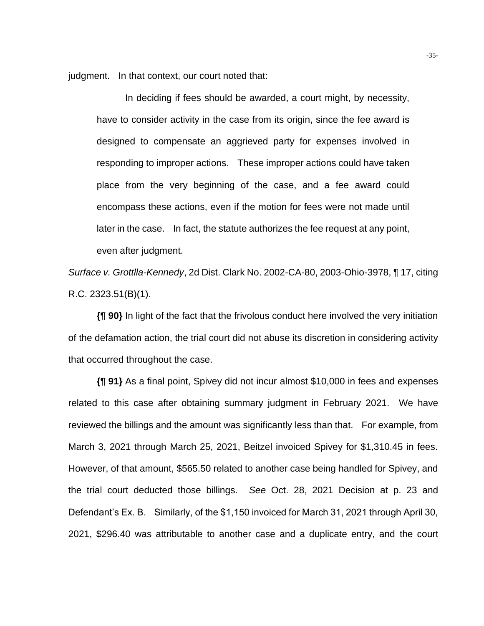judgment. In that context, our court noted that:

In deciding if fees should be awarded, a court might, by necessity, have to consider activity in the case from its origin, since the fee award is designed to compensate an aggrieved party for expenses involved in responding to improper actions. These improper actions could have taken place from the very beginning of the case, and a fee award could encompass these actions, even if the motion for fees were not made until later in the case. In fact, the statute authorizes the fee request at any point, even after judgment.

*Surface v. Grottlla-Kennedy*, 2d Dist. Clark No. 2002-CA-80, 2003-Ohio-3978, ¶ 17, citing R.C. 2323.51(B)(1).

**{¶ 90}** In light of the fact that the frivolous conduct here involved the very initiation of the defamation action, the trial court did not abuse its discretion in considering activity that occurred throughout the case.

**{¶ 91}** As a final point, Spivey did not incur almost \$10,000 in fees and expenses related to this case after obtaining summary judgment in February 2021. We have reviewed the billings and the amount was significantly less than that. For example, from March 3, 2021 through March 25, 2021, Beitzel invoiced Spivey for \$1,310.45 in fees. However, of that amount, \$565.50 related to another case being handled for Spivey, and the trial court deducted those billings. *See* Oct. 28, 2021 Decision at p. 23 and Defendant's Ex. B. Similarly, of the \$1,150 invoiced for March 31, 2021 through April 30, 2021, \$296.40 was attributable to another case and a duplicate entry, and the court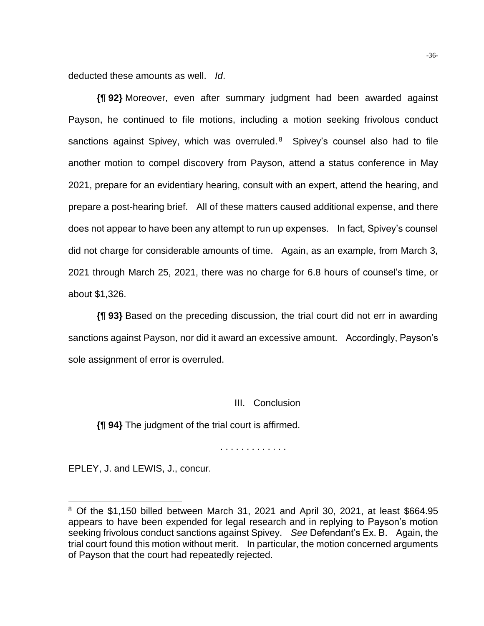deducted these amounts as well. *Id*.

**{¶ 92}** Moreover, even after summary judgment had been awarded against Payson, he continued to file motions, including a motion seeking frivolous conduct sanctions against Spivey, which was overruled.<sup>8</sup> Spivey's counsel also had to file another motion to compel discovery from Payson, attend a status conference in May 2021, prepare for an evidentiary hearing, consult with an expert, attend the hearing, and prepare a post-hearing brief. All of these matters caused additional expense, and there does not appear to have been any attempt to run up expenses. In fact, Spivey's counsel did not charge for considerable amounts of time. Again, as an example, from March 3, 2021 through March 25, 2021, there was no charge for 6.8 hours of counsel's time, or about \$1,326.

**{¶ 93}** Based on the preceding discussion, the trial court did not err in awarding sanctions against Payson, nor did it award an excessive amount. Accordingly, Payson's sole assignment of error is overruled.

### III. Conclusion

**{¶ 94}** The judgment of the trial court is affirmed.

. . . . . . . . . . . . .

EPLEY, J. and LEWIS, J., concur.

 $8$  Of the \$1,150 billed between March 31, 2021 and April 30, 2021, at least \$664.95 appears to have been expended for legal research and in replying to Payson's motion seeking frivolous conduct sanctions against Spivey. *See* Defendant's Ex. B. Again, the trial court found this motion without merit. In particular, the motion concerned arguments of Payson that the court had repeatedly rejected.